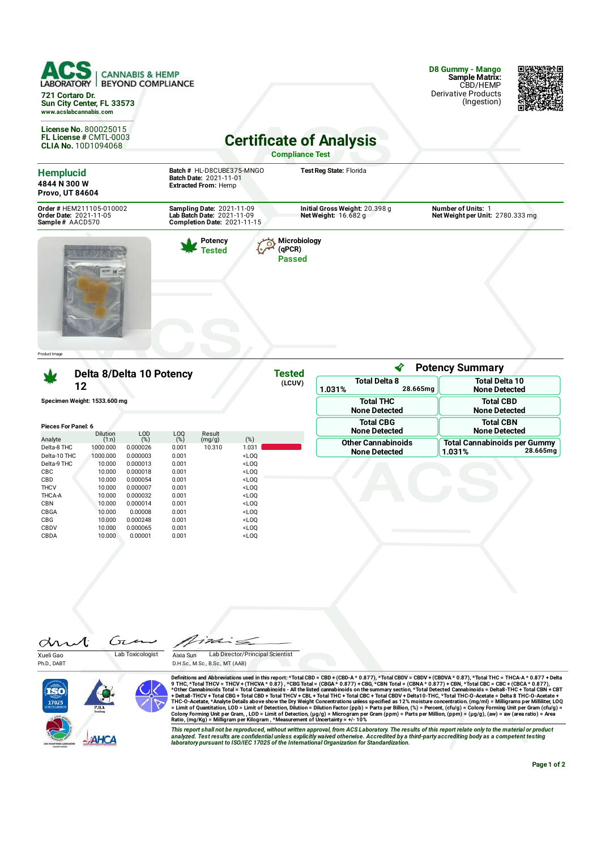| <b>CANNABIS &amp; HEMP</b><br><b>BEYOND COMPLIANCE</b><br>LABORATORY                                                                                                   |                                                   |                                                                                    |                                         |                  |                                                                                                                       |                                                               |                                                           |                                                                  | D8 Gummy - Mango<br>Sample Matrix:<br>CBD/HEMP<br><b>Derivative Products</b> |          |
|------------------------------------------------------------------------------------------------------------------------------------------------------------------------|---------------------------------------------------|------------------------------------------------------------------------------------|-----------------------------------------|------------------|-----------------------------------------------------------------------------------------------------------------------|---------------------------------------------------------------|-----------------------------------------------------------|------------------------------------------------------------------|------------------------------------------------------------------------------|----------|
| 721 Cortaro Dr.<br>Sun City Center, FL 33573<br>www.acslabcannabis.com                                                                                                 |                                                   |                                                                                    |                                         |                  |                                                                                                                       |                                                               |                                                           |                                                                  | (Ingestion)                                                                  |          |
| <b>License No. 800025015</b><br>FL License # CMTL-0003<br><b>CLIA No. 10D1094068</b>                                                                                   |                                                   |                                                                                    |                                         |                  |                                                                                                                       |                                                               | <b>Certificate of Analysis</b><br><b>Compliance Test</b>  |                                                                  |                                                                              |          |
| <b>Hemplucid</b><br>4844 N 300 W<br><b>Provo, UT 84604</b>                                                                                                             |                                                   | Batch # HL-D8CUBE375-MNGO<br>Batch Date: 2021-11-01<br><b>Extracted From: Hemp</b> |                                         |                  |                                                                                                                       |                                                               | Test Reg State: Florida                                   |                                                                  |                                                                              |          |
| Order # HEM211105-010002<br>Sampling Date: 2021-11-09<br>Lab Batch Date: 2021-11-09<br>Order Date: 2021-11-05<br>Sample# AACD570<br><b>Completion Date: 2021-11-15</b> |                                                   |                                                                                    |                                         |                  |                                                                                                                       | Initial Gross Weight: 20.398 g<br><b>Net Weight: 16.682 g</b> |                                                           |                                                                  | <b>Number of Units: 1</b><br>Net Weight per Unit: 2780.333 mg                |          |
| Product I mage                                                                                                                                                         |                                                   |                                                                                    |                                         |                  |                                                                                                                       |                                                               |                                                           | ∢                                                                | <b>Potency Summary</b>                                                       |          |
| Delta 8/Delta 10 Potency<br>12                                                                                                                                         |                                                   |                                                                                    |                                         |                  | <b>Tested</b><br>(LCUV)                                                                                               |                                                               | <b>Total Delta 10</b><br><b>Total Delta 8</b><br>28.665mg |                                                                  |                                                                              |          |
| Specimen Weight: 1533.600 mg                                                                                                                                           |                                                   |                                                                                    |                                         |                  |                                                                                                                       | 1.031%                                                        | <b>Total THC</b><br><b>None Detected</b>                  | <b>None Detected</b><br><b>Total CBD</b><br><b>None Detected</b> |                                                                              |          |
| <b>Pieces For Panel: 6</b>                                                                                                                                             | Dilution                                          | LOD                                                                                | LOQ                                     | Result           |                                                                                                                       |                                                               |                                                           | <b>Total CBG</b><br><b>None Detected</b>                         | <b>Total CBN</b><br><b>None Detected</b>                                     |          |
| Analyte<br>Delta-8 THC<br>Delta-10 THC<br>Delta-9 THC<br>CBC                                                                                                           | (1:n)<br>1000.000<br>1000.000<br>10.000<br>10.000 | (%)<br>0.000026<br>0.000003<br>0.000013<br>0.000018                                | (%)<br>0.001<br>0.001<br>0.001<br>0.001 | (mg/g)<br>10.310 | (%)<br>1.031<br>$<$ LOQ<br>$<$ LOQ<br>$<$ LOQ                                                                         |                                                               |                                                           | <b>Other Cannabinoids</b><br><b>None Detected</b>                | <b>Total Cannabinoids per Gummy</b><br>1.031%                                | 28.665mg |
| CBD<br><b>THCV</b><br>THCA-A<br>CBN                                                                                                                                    | 10.000<br>10.000<br>10.000<br>10.000              | 0.000054<br>0.000007<br>0.000032<br>0.000014                                       | 0.001<br>0.001<br>0.001<br>0.001        |                  | $<$ LOQ<br>$<$ LOQ<br>$<$ LOQ<br>$<$ LOQ                                                                              |                                                               |                                                           |                                                                  |                                                                              |          |
| CBGA<br>CBG<br>CBDV<br>CBDA                                                                                                                                            | 10.000<br>10.000<br>10.000<br>10.000              | 0.00008<br>0.000248<br>0.000065<br>0.00001                                         | 0.001<br>0.001<br>0.001<br>0.001        |                  | $<$ LOQ<br><loq<br><math>&lt;</math>LOQ<br/><loq< td=""><td></td><td></td><td></td><td></td><td></td></loq<></loq<br> |                                                               |                                                           |                                                                  |                                                                              |          |

Æ Ćπ an Xueli Gao Lab Toxicologist

Ph.D., DABT

 $722$  $\epsilon$   $\epsilon$ Aixia Sun Lab Director/Principal Scientist D.H.Sc., M.Sc., B.Sc., MT (AAB)



Definitions and Abbreviations used in this report:\*Total CBD = CBD + (CBD-A\* 0.877), \*Total CBDV = CBDV + (CBDVA\* 0.87), \*Total CBC = CBC + (CBCA\* 0.877) + Total<br>9 THC, \*Total THC = THCA+ 1 CHC + THCA + 0.87), \*CBG Total

This report shall not be reproduced, without written approval, from ACS Laboratory. The results of this report relate only to the material or product<br>analyzed. Test results are confidential unless explicitly waived otherwi